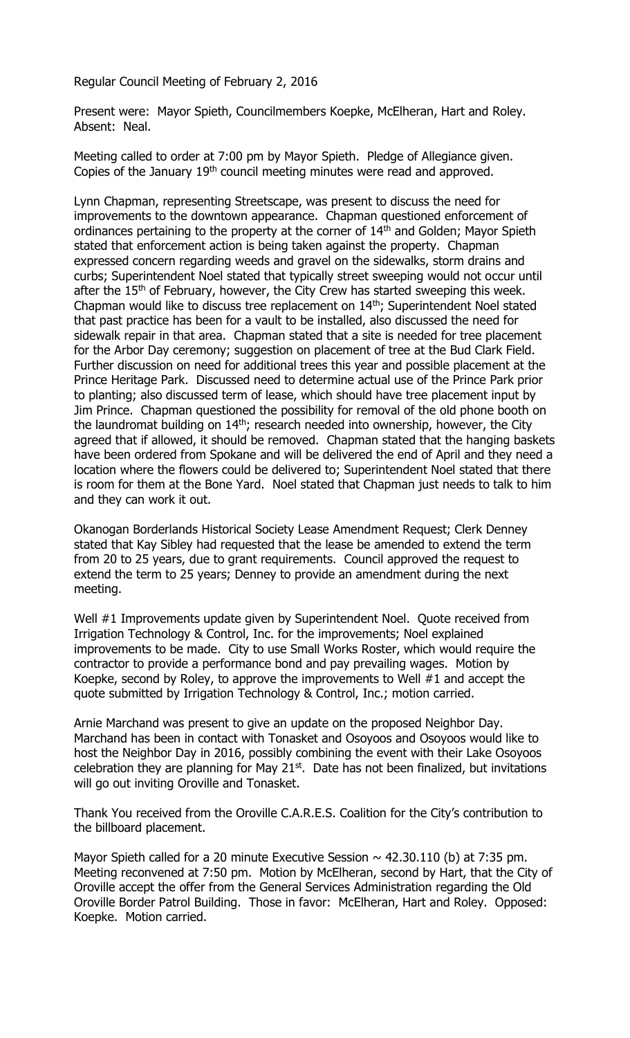Regular Council Meeting of February 2, 2016

Present were: Mayor Spieth, Councilmembers Koepke, McElheran, Hart and Roley. Absent: Neal.

Meeting called to order at 7:00 pm by Mayor Spieth. Pledge of Allegiance given. Copies of the January 19<sup>th</sup> council meeting minutes were read and approved.

Lynn Chapman, representing Streetscape, was present to discuss the need for improvements to the downtown appearance. Chapman questioned enforcement of ordinances pertaining to the property at the corner of 14<sup>th</sup> and Golden; Mayor Spieth stated that enforcement action is being taken against the property. Chapman expressed concern regarding weeds and gravel on the sidewalks, storm drains and curbs; Superintendent Noel stated that typically street sweeping would not occur until after the  $15<sup>th</sup>$  of February, however, the City Crew has started sweeping this week. Chapman would like to discuss tree replacement on 14<sup>th</sup>; Superintendent Noel stated that past practice has been for a vault to be installed, also discussed the need for sidewalk repair in that area. Chapman stated that a site is needed for tree placement for the Arbor Day ceremony; suggestion on placement of tree at the Bud Clark Field. Further discussion on need for additional trees this year and possible placement at the Prince Heritage Park. Discussed need to determine actual use of the Prince Park prior to planting; also discussed term of lease, which should have tree placement input by Jim Prince. Chapman questioned the possibility for removal of the old phone booth on the laundromat building on 14<sup>th</sup>; research needed into ownership, however, the City agreed that if allowed, it should be removed. Chapman stated that the hanging baskets have been ordered from Spokane and will be delivered the end of April and they need a location where the flowers could be delivered to; Superintendent Noel stated that there is room for them at the Bone Yard. Noel stated that Chapman just needs to talk to him and they can work it out.

Okanogan Borderlands Historical Society Lease Amendment Request; Clerk Denney stated that Kay Sibley had requested that the lease be amended to extend the term from 20 to 25 years, due to grant requirements. Council approved the request to extend the term to 25 years; Denney to provide an amendment during the next meeting.

Well #1 Improvements update given by Superintendent Noel. Quote received from Irrigation Technology & Control, Inc. for the improvements; Noel explained improvements to be made. City to use Small Works Roster, which would require the contractor to provide a performance bond and pay prevailing wages. Motion by Koepke, second by Roley, to approve the improvements to Well #1 and accept the quote submitted by Irrigation Technology & Control, Inc.; motion carried.

Arnie Marchand was present to give an update on the proposed Neighbor Day. Marchand has been in contact with Tonasket and Osoyoos and Osoyoos would like to host the Neighbor Day in 2016, possibly combining the event with their Lake Osoyoos celebration they are planning for May  $21<sup>st</sup>$ . Date has not been finalized, but invitations will go out inviting Oroville and Tonasket.

Thank You received from the Oroville C.A.R.E.S. Coalition for the City's contribution to the billboard placement.

Mayor Spieth called for a 20 minute Executive Session  $\sim$  42.30.110 (b) at 7:35 pm. Meeting reconvened at 7:50 pm. Motion by McElheran, second by Hart, that the City of Oroville accept the offer from the General Services Administration regarding the Old Oroville Border Patrol Building. Those in favor: McElheran, Hart and Roley. Opposed: Koepke. Motion carried.